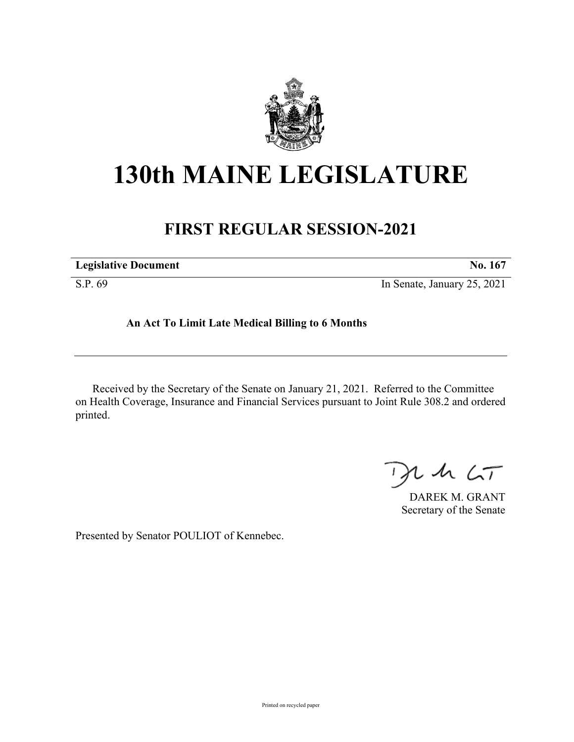

## **130th MAINE LEGISLATURE**

## **FIRST REGULAR SESSION-2021**

| <b>Legislative Document</b> | No. 167                     |
|-----------------------------|-----------------------------|
| S.P. 69                     | In Senate, January 25, 2021 |

## **An Act To Limit Late Medical Billing to 6 Months**

Received by the Secretary of the Senate on January 21, 2021. Referred to the Committee on Health Coverage, Insurance and Financial Services pursuant to Joint Rule 308.2 and ordered printed.

 $125$ 

DAREK M. GRANT Secretary of the Senate

Presented by Senator POULIOT of Kennebec.